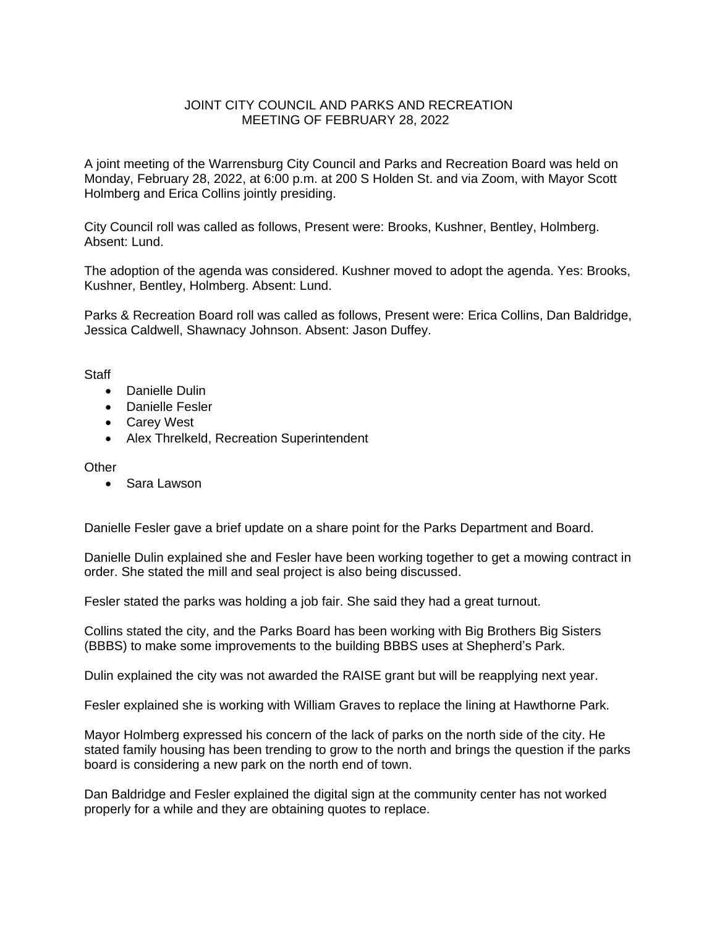## JOINT CITY COUNCIL AND PARKS AND RECREATION MEETING OF FEBRUARY 28, 2022

A joint meeting of the Warrensburg City Council and Parks and Recreation Board was held on Monday, February 28, 2022, at 6:00 p.m. at 200 S Holden St. and via Zoom, with Mayor Scott Holmberg and Erica Collins jointly presiding.

City Council roll was called as follows, Present were: Brooks, Kushner, Bentley, Holmberg. Absent: Lund.

The adoption of the agenda was considered. Kushner moved to adopt the agenda. Yes: Brooks, Kushner, Bentley, Holmberg. Absent: Lund.

Parks & Recreation Board roll was called as follows, Present were: Erica Collins, Dan Baldridge, Jessica Caldwell, Shawnacy Johnson. Absent: Jason Duffey.

**Staff** 

- Danielle Dulin
- Danielle Fesler
- Carey West
- Alex Threlkeld, Recreation Superintendent

**Other** 

Sara Lawson

Danielle Fesler gave a brief update on a share point for the Parks Department and Board.

Danielle Dulin explained she and Fesler have been working together to get a mowing contract in order. She stated the mill and seal project is also being discussed.

Fesler stated the parks was holding a job fair. She said they had a great turnout.

Collins stated the city, and the Parks Board has been working with Big Brothers Big Sisters (BBBS) to make some improvements to the building BBBS uses at Shepherd's Park.

Dulin explained the city was not awarded the RAISE grant but will be reapplying next year.

Fesler explained she is working with William Graves to replace the lining at Hawthorne Park.

Mayor Holmberg expressed his concern of the lack of parks on the north side of the city. He stated family housing has been trending to grow to the north and brings the question if the parks board is considering a new park on the north end of town.

Dan Baldridge and Fesler explained the digital sign at the community center has not worked properly for a while and they are obtaining quotes to replace.